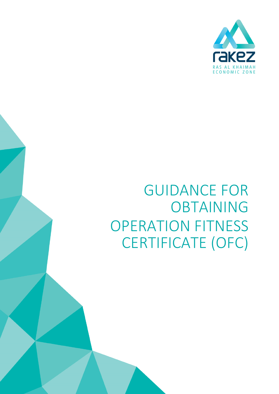# GUIDANCE FOR OBTAINING OPERATION FITNESS CERTIFICATE (OFC)

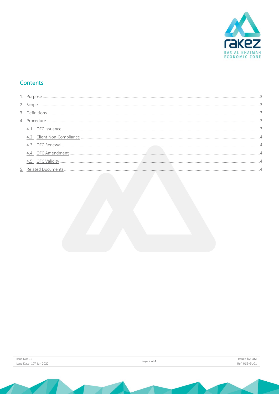

# Contents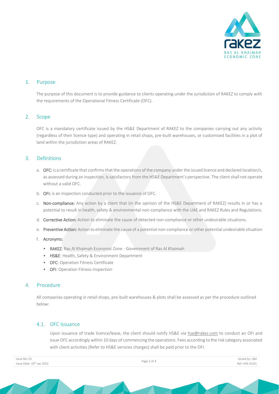

# <span id="page-2-0"></span>1. Purpose

The purpose of this document is to provide guidance to clients operating under the jurisdiction of RAKEZ to comply with the requirements of the Operational Fitness Certificate (OFC).

## <span id="page-2-1"></span>2. Scope

OFC is a mandatory certificate issued by the HS&E Department of RAKEZ to the companies carrying out any activity (regardless of their licence type) and operating in retail shops, pre-built warehouses, or customised facilities in a plot of land within the jurisdiction areas of RAKEZ.

# <span id="page-2-2"></span>3. Definitions

- a. OFC: is a certificate that confirms that the operations of the company under the issued licence and declared location/s, as assessed during an inspection, is satisfactory from the HS&E Department's perspective. The client shall not operate without a valid OFC.
- b. OFI: is an inspection conducted prior to the issuance of OFC.
- c. Non-compliance: Any action by a client that (in the opinion of the HS&E Department of RAKEZ) results in or has a potential to result in health, safety & environmental non-compliance with the UAE and RAKEZ Rules and Regulations.
- d. Corrective Action: Action to eliminate the cause of detected non-compliance or other undesirable situations.
- e. Preventive Action: Action to eliminate the cause of a potential non-compliance or other potential undesirable situation
- f. Acronyms:
	- RAKEZ: Ras Al Khaimah Economic Zone Government of Ras Al Khaimah
	- HS&E: Health, Safety & Environment Department
	- OFC: Operation Fitness Certificate
	- OFI: Operation Fitness Inspection

# <span id="page-2-3"></span>4. Procedure

All companies operating in retail shops, pre-built warehouses & plots shall be assessed as per the procedure outlined below:

#### <span id="page-2-4"></span>4.1. OFC Issuance

Upon issuance of trade licence/lease, the client should notify HS&E via [hse@rakez.com](mailto:hse@rakez.com) to conduct an OFI and issue OFC accordingly within 10 days of commencing the operations. Fees according to the risk category associated with client activities (Refer to HS&E services charges) shall be paid prior to the OFI.

| Issue No: 01                          | Page 3 of 4 | Issued by: QM |
|---------------------------------------|-------------|---------------|
| Issue Date: 10 <sup>th</sup> Jan 2022 |             | Ref: HSE-GU01 |